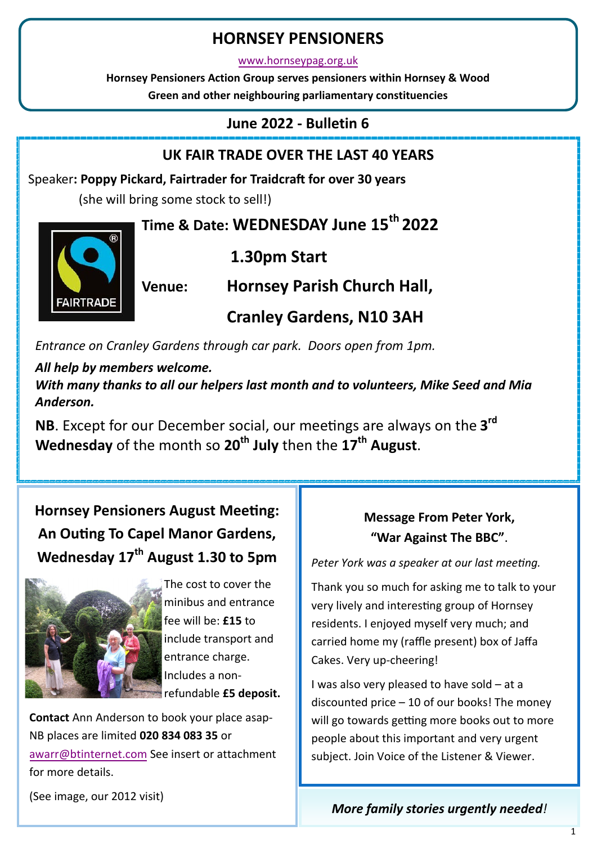# **HORNSEY PENSIONERS**

[www.hornseypag.org.uk](http://www.hornseypensionersactiongroup.org.uk/)

**Hornsey Pensioners Action Group serves pensioners within Hornsey & Wood Green and other neighbouring parliamentary constituencies**

## **June 2022 - Bulletin 6**

# **UK FAIR TRADE OVER THE LAST 40 YEARS**

Speaker**: Poppy Pickard, Fairtrader for Traidcraft for over 30 years**

(she will bring some stock to sell!)

# **Time & Date: WEDNESDAY June 15th 2022**



**1.30pm Start**

**Venue: Hornsey Parish Church Hall,** 

**Cranley Gardens, N10 3AH** 

*Entrance on Cranley Gardens through car park. Doors open from 1pm.* 

## *All help by members welcome.*

*With many thanks to all our helpers last month and to volunteers, Mike Seed and Mia Anderson.*

**NB**. Except for our December social, our meetings are always on the **3 rd Wednesday** of the month so **20th July** then the **17th August**.

# **Hornsey Pensioners August Meeting: An Outing To Capel Manor Gardens, Wednesday 17th August 1.30 to 5pm**



The cost to cover the minibus and entrance fee will be: **£15** to include transport and entrance charge. Includes a nonrefundable **£5 deposit.** 

**Contact** Ann Anderson to book your place asap-NB places are limited **020 834 083 35** or [awarr@btinternet.com](mailto:awarr@btinternet.com) See insert or attachment for more details.

(See image, our 2012 visit)

# **Message From Peter York, "War Against The BBC"**.

*Peter York was a speaker at our last meeting.*

Thank you so much for asking me to talk to your very lively and interesting group of Hornsey residents. I enjoyed myself very much; and carried home my (raffle present) box of Jaffa Cakes. Very up-cheering!

I was also very pleased to have sold – at a discounted price – 10 of our books! The money will go towards getting more books out to more people about this important and very urgent subject. Join Voice of the Listener & Viewer.

# *More family stories urgently needed!*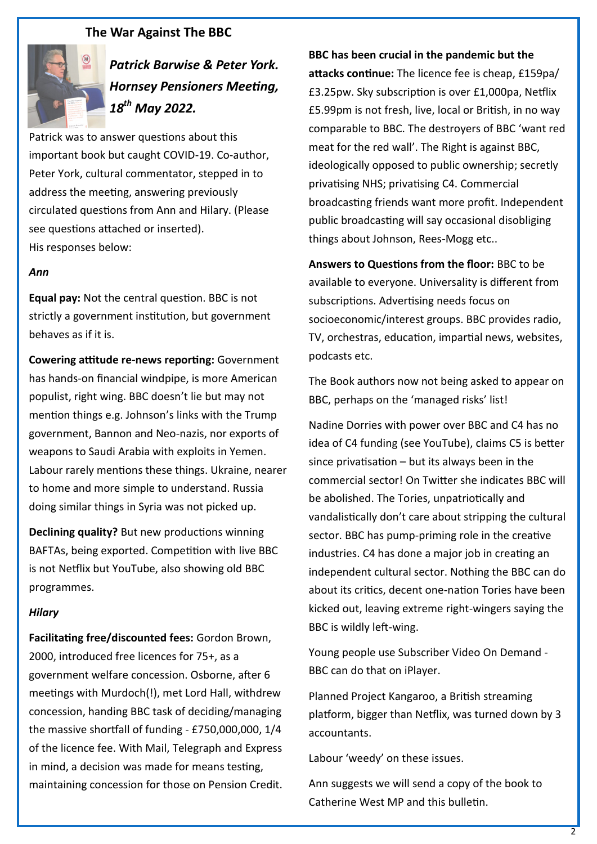### **The War Against The BBC**



*Patrick Barwise & Peter York. Hornsey Pensioners Meeting, 18th May 2022.*

Patrick was to answer questions about this important book but caught COVID-19. Co-author, Peter York, cultural commentator, stepped in to address the meeting, answering previously circulated questions from Ann and Hilary. (Please see questions attached or inserted). His responses below:

#### *Ann*

**Equal pay:** Not the central question. BBC is not strictly a government institution, but government behaves as if it is.

**Cowering attitude re-news reporting:** Government has hands-on financial windpipe, is more American populist, right wing. BBC doesn't lie but may not mention things e.g. Johnson's links with the Trump government, Bannon and Neo-nazis, nor exports of weapons to Saudi Arabia with exploits in Yemen. Labour rarely mentions these things. Ukraine, nearer to home and more simple to understand. Russia doing similar things in Syria was not picked up.

**Declining quality?** But new productions winning BAFTAs, being exported. Competition with live BBC is not Netflix but YouTube, also showing old BBC programmes.

#### *Hilary*

**Facilitating free/discounted fees:** Gordon Brown, 2000, introduced free licences for 75+, as a government welfare concession. Osborne, after 6 meetings with Murdoch(!), met Lord Hall, withdrew concession, handing BBC task of deciding/managing the massive shortfall of funding - £750,000,000, 1/4 of the licence fee. With Mail, Telegraph and Express in mind, a decision was made for means testing, maintaining concession for those on Pension Credit. **BBC has been crucial in the pandemic but the attacks continue:** The licence fee is cheap, £159pa/ £3.25pw. Sky subscription is over £1,000pa, Netflix £5.99pm is not fresh, live, local or British, in no way comparable to BBC. The destroyers of BBC 'want red meat for the red wall'. The Right is against BBC, ideologically opposed to public ownership; secretly privatising NHS; privatising C4. Commercial broadcasting friends want more profit. Independent public broadcasting will say occasional disobliging things about Johnson, Rees-Mogg etc..

**Answers to Questions from the floor:** BBC to be available to everyone. Universality is different from subscriptions. Advertising needs focus on socioeconomic/interest groups. BBC provides radio, TV, orchestras, education, impartial news, websites, podcasts etc.

The Book authors now not being asked to appear on BBC, perhaps on the 'managed risks' list!

Nadine Dorries with power over BBC and C4 has no idea of C4 funding (see YouTube), claims C5 is better since privatisation  $-$  but its always been in the commercial sector! On Twitter she indicates BBC will be abolished. The Tories, unpatriotically and vandalistically don't care about stripping the cultural sector. BBC has pump-priming role in the creative industries. C4 has done a major job in creating an independent cultural sector. Nothing the BBC can do about its critics, decent one-nation Tories have been kicked out, leaving extreme right-wingers saying the BBC is wildly left-wing.

Young people use Subscriber Video On Demand - BBC can do that on iPlayer.

Planned Project Kangaroo, a British streaming platform, bigger than Netflix, was turned down by 3 accountants.

Labour 'weedy' on these issues.

Ann suggests we will send a copy of the book to Catherine West MP and this bulletin.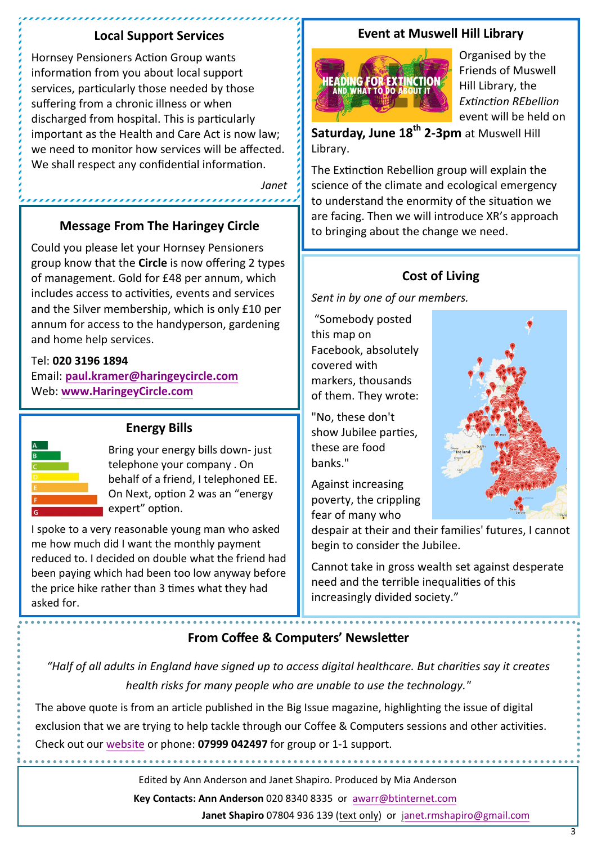### **Local Support Services**

Hornsey Pensioners Action Group wants information from you about local support services, particularly those needed by those suffering from a chronic illness or when discharged from hospital. This is particularly important as the Health and Care Act is now law; we need to monitor how services will be affected. We shall respect any confidential information.

*Janet*

### **Message From The Haringey Circle**

Could you please let your Hornsey Pensioners group know that the **Circle** is now offering 2 types of management. Gold for £48 per annum, which includes access to activities, events and services and the Silver membership, which is only £10 per annum for access to the handyperson, gardening and home help services.

### Tel: **020 3196 1894**

Email: **[paul.kramer@haringeycircle.com](mailto:paul.kramer@haringeycircle.com)** Web: **[www.HaringeyCircle.com](http://www.HaringeyCircle.com)**



### **Energy Bills**

Bring your energy bills down- just telephone your company . On behalf of a friend, I telephoned EE. On Next, option 2 was an "energy expert" option.

I spoke to a very reasonable young man who asked me how much did I want the monthly payment reduced to. I decided on double what the friend had been paying which had been too low anyway before the price hike rather than 3 times what they had asked for.

### **Event at Muswell Hill Library**



Organised by the Friends of Muswell Hill Library, the *Extinction REbellion*  event will be held on

**Saturday, June 18th 2-3pm** at Muswell Hill Library.

The Extinction Rebellion group will explain the science of the climate and ecological emergency to understand the enormity of the situation we are facing. Then we will introduce XR's approach to bringing about the change we need.

## **Cost of Living**

*Sent in by one of our members.*

"Somebody posted this map on Facebook, absolutely covered with markers, thousands of them. They wrote:

"No, these don't show Jubilee parties, these are food banks."

Against increasing poverty, the crippling fear of many who

despair at their and their families' futures, I cannot begin to consider the Jubilee.

Cannot take in gross wealth set against desperate need and the terrible inequalities of this increasingly divided society."

## **From Coffee & Computers' Newsletter**

*"Half of all adults in England have signed up to access digital healthcare. But charities say it creates health risks for many people who are unable to use the technology."* 

The above quote is from an article published in the Big Issue magazine, highlighting the issue of digital exclusion that we are trying to help tackle through our Coffee & Computers sessions and other activities. Check out our [website](https://coffeecomputers.org/) or phone: **07999 042497** for group or 1-1 support.

Edited by Ann Anderson and Janet Shapiro. Produced by Mia Anderson

**Key Contacts: Ann Anderson** [020 8340 8335 or a](mailto:awarr@btinternet.com)warr@btinternet.com

**Janet Shapiro** 0780[4 936 139 \(text only\) or janet.](mailto:janet.rmshapiro@gmail.com)rmshapiro@gmail.com